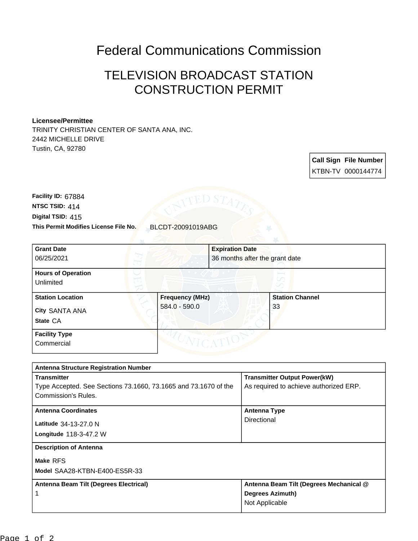## Federal Communications Commission

## TELEVISION BROADCAST STATION CONSTRUCTION PERMIT

## **Licensee/Permittee**

TRINITY CHRISTIAN CENTER OF SANTA ANA, INC. 2442 MICHELLE DRIVE Tustin, CA, 92780

> **Call Sign File Number** KTBN-TV 0000144774

**This Permit Modifies License File No.** BLCDT-20091019ABG **Digital TSID:** 415 **NTSC TSID:** 414 **Facility ID:** 67884

| <b>Grant Date</b><br>06/25/2021                       |                                         | <b>Expiration Date</b> | 36 months after the grant date |  |
|-------------------------------------------------------|-----------------------------------------|------------------------|--------------------------------|--|
| <b>Hours of Operation</b><br>Unlimited                |                                         |                        |                                |  |
| <b>Station Location</b><br>City SANTA ANA<br>State CA | <b>Frequency (MHz)</b><br>584.0 - 590.0 |                        | <b>Station Channel</b><br>33   |  |
| <b>Facility Type</b><br>Commercial                    |                                         |                        |                                |  |

| <b>Antenna Structure Registration Number</b>                    |                                         |  |  |  |
|-----------------------------------------------------------------|-----------------------------------------|--|--|--|
| <b>Transmitter</b>                                              | <b>Transmitter Output Power(kW)</b>     |  |  |  |
| Type Accepted. See Sections 73.1660, 73.1665 and 73.1670 of the | As required to achieve authorized ERP.  |  |  |  |
| Commission's Rules.                                             |                                         |  |  |  |
| <b>Antenna Coordinates</b>                                      | <b>Antenna Type</b>                     |  |  |  |
| <b>Latitude</b> 34-13-27.0 N                                    | Directional                             |  |  |  |
| <b>Longitude 118-3-47.2 W</b>                                   |                                         |  |  |  |
|                                                                 |                                         |  |  |  |
| <b>Description of Antenna</b>                                   |                                         |  |  |  |
| Make RFS                                                        |                                         |  |  |  |
| Model SAA28-KTBN-E400-ES5R-33                                   |                                         |  |  |  |
| Antenna Beam Tilt (Degrees Electrical)                          | Antenna Beam Tilt (Degrees Mechanical @ |  |  |  |
|                                                                 | Degrees Azimuth)                        |  |  |  |
|                                                                 | Not Applicable                          |  |  |  |
|                                                                 |                                         |  |  |  |